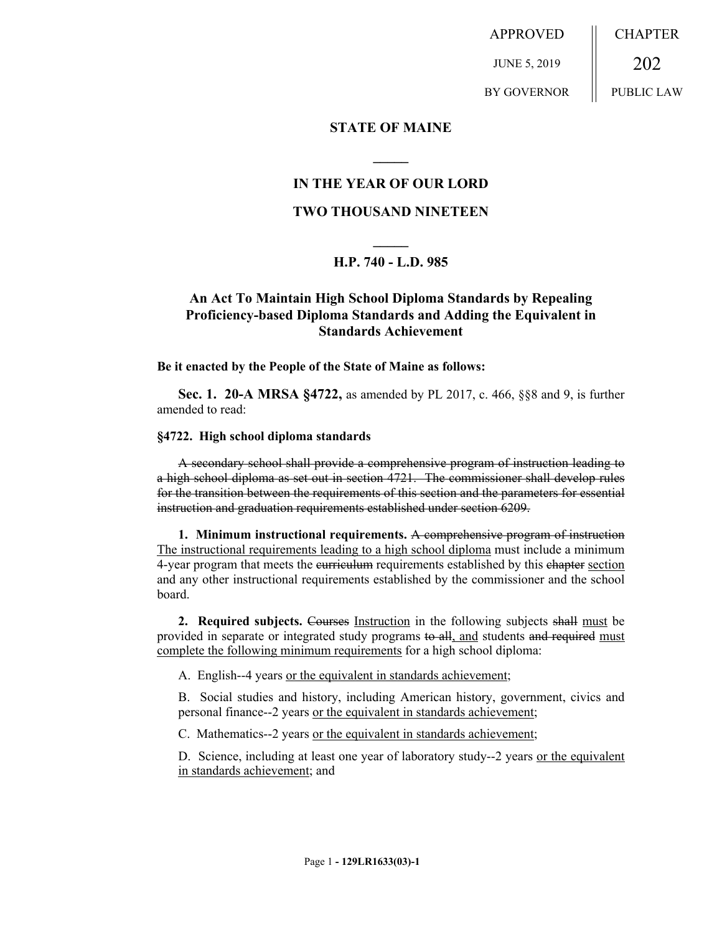APPROVED JUNE 5, 2019 BY GOVERNOR CHAPTER 202 PUBLIC LAW

## **STATE OF MAINE**

## **IN THE YEAR OF OUR LORD**

**\_\_\_\_\_**

## **TWO THOUSAND NINETEEN**

# **\_\_\_\_\_ H.P. 740 - L.D. 985**

## **An Act To Maintain High School Diploma Standards by Repealing Proficiency-based Diploma Standards and Adding the Equivalent in Standards Achievement**

### **Be it enacted by the People of the State of Maine as follows:**

**Sec. 1. 20-A MRSA §4722,** as amended by PL 2017, c. 466, §§8 and 9, is further amended to read:

#### **§4722. High school diploma standards**

A secondary school shall provide a comprehensive program of instruction leading to a high school diploma as set out in section 4721. The commissioner shall develop rules for the transition between the requirements of this section and the parameters for essential instruction and graduation requirements established under section 6209.

**1. Minimum instructional requirements.** A comprehensive program of instruction The instructional requirements leading to a high school diploma must include a minimum 4-year program that meets the eurriculum requirements established by this chapter section and any other instructional requirements established by the commissioner and the school board.

**2. Required subjects.** Courses Instruction in the following subjects shall must be provided in separate or integrated study programs to all, and students and required must complete the following minimum requirements for a high school diploma:

A. English--4 years or the equivalent in standards achievement;

B. Social studies and history, including American history, government, civics and personal finance--2 years or the equivalent in standards achievement;

C. Mathematics--2 years or the equivalent in standards achievement;

D. Science, including at least one year of laboratory study--2 years or the equivalent in standards achievement; and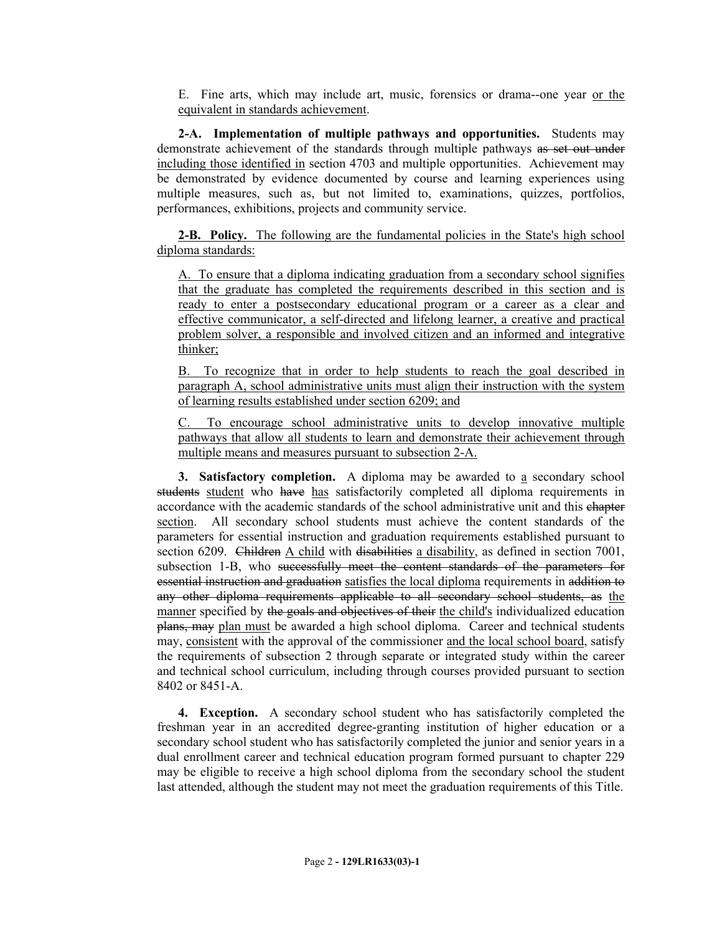E. Fine arts, which may include art, music, forensics or drama--one year or the equivalent in standards achievement.

**2-A. Implementation of multiple pathways and opportunities.** Students may demonstrate achievement of the standards through multiple pathways as set out under including those identified in section 4703 and multiple opportunities. Achievement may be demonstrated by evidence documented by course and learning experiences using multiple measures, such as, but not limited to, examinations, quizzes, portfolios, performances, exhibitions, projects and community service.

**2-B. Policy.** The following are the fundamental policies in the State's high school diploma standards:

A. To ensure that a diploma indicating graduation from a secondary school signifies that the graduate has completed the requirements described in this section and is ready to enter a postsecondary educational program or a career as a clear and effective communicator, a self-directed and lifelong learner, a creative and practical problem solver, a responsible and involved citizen and an informed and integrative thinker;

B. To recognize that in order to help students to reach the goal described in paragraph A, school administrative units must align their instruction with the system of learning results established under section 6209; and

C. To encourage school administrative units to develop innovative multiple pathways that allow all students to learn and demonstrate their achievement through multiple means and measures pursuant to subsection 2-A.

**3. Satisfactory completion.** A diploma may be awarded to a secondary school students student who have has satisfactorily completed all diploma requirements in accordance with the academic standards of the school administrative unit and this chapter section. All secondary school students must achieve the content standards of the parameters for essential instruction and graduation requirements established pursuant to section 6209. Children A child with disabilities a disability, as defined in section 7001, subsection 1-B, who successfully meet the content standards of the parameters for essential instruction and graduation satisfies the local diploma requirements in addition to any other diploma requirements applicable to all secondary school students, as the manner specified by the goals and objectives of their the child's individualized education plans, may plan must be awarded a high school diploma. Career and technical students may, consistent with the approval of the commissioner and the local school board, satisfy the requirements of subsection 2 through separate or integrated study within the career and technical school curriculum, including through courses provided pursuant to section 8402 or 8451-A.

**4. Exception.** A secondary school student who has satisfactorily completed the freshman year in an accredited degree-granting institution of higher education or a secondary school student who has satisfactorily completed the junior and senior years in a dual enrollment career and technical education program formed pursuant to chapter 229 may be eligible to receive a high school diploma from the secondary school the student last attended, although the student may not meet the graduation requirements of this Title.